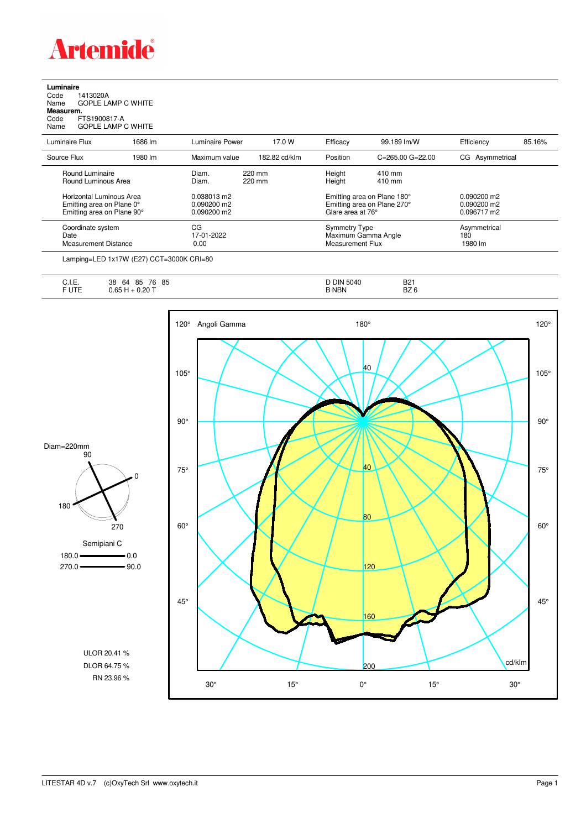

**Luminaire**<br>Code 1<br>Name ( Code 1413020A Name GOPLE LAMP C WHITE **Measurem.**

Code FTS1900817-A Name GOPLE LAMP C WHITE

| Luminaire Flux                                                                      | 1686 lm | Luminaire Power                               | 17.0 W           | Efficacy                          | 99.189 lm/W                                                | Efficiency                                  | 85.16% |
|-------------------------------------------------------------------------------------|---------|-----------------------------------------------|------------------|-----------------------------------|------------------------------------------------------------|---------------------------------------------|--------|
| Source Flux                                                                         | 1980 lm | Maximum value                                 | 182.82 cd/klm    | Position                          | $C = 265.00$ $G = 22.00$                                   | CG Asymmetrical                             |        |
| Round Luminaire<br>Round Luminous Area                                              |         | Diam.<br>Diam.                                | 220 mm<br>220 mm | Height<br>Height                  | 410 mm<br>410 mm                                           |                                             |        |
| Horizontal Luminous Area<br>Emitting area on Plane 0°<br>Emitting area on Plane 90° |         | 0.038013 m2<br>$0.090200$ m2<br>$0.090200$ m2 |                  | Glare area at 76°                 | Emitting area on Plane 180°<br>Emitting area on Plane 270° | 0.090200 m2<br>$0.090200$ m2<br>0.096717 m2 |        |
| Coordinate system<br>Date<br><b>Measurement Distance</b>                            |         | CG<br>17-01-2022<br>0.00                      |                  | Symmetry Type<br>Measurement Flux | Maximum Gamma Angle                                        | Asymmetrical<br>180<br>1980 lm              |        |

Lamping=LED 1x17W (E27) CCT=3000K CRI=80

| <b></b><br>∪. I.⊏.                                                | 85<br>85<br>76<br>38<br>64         | <b>DIN 5040</b><br>ີ | <b>B21</b>      |
|-------------------------------------------------------------------|------------------------------------|----------------------|-----------------|
| the contract of the contract of the contract of<br>----<br>.<br>ັ | $\sim$<br>$+0.20$ $+$<br>nh<br>ט.ט | <b>NBN</b>           | BZ <sub>6</sub> |